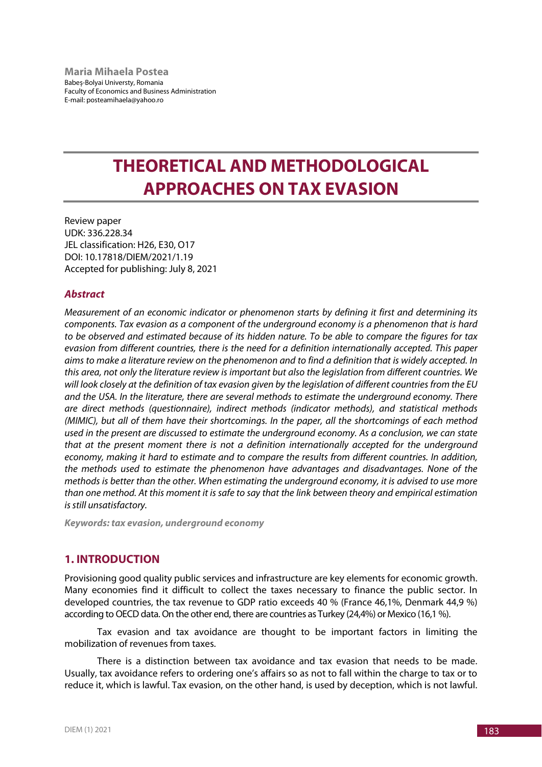**Maria Mihaela Postea**  Babeș-Bolyai Universty, Romania Faculty of Economics and Business Administration E-mail: posteamihaela@yahoo.ro

# **THEORETICAL AND METHODOLOGICAL APPROACHES ON TAX EVASION**

Review paper UDK: 336.228.34 JEL classification: H26, E30, O17 DOI: 10.17818/DIEM/2021/1.19 Accepted for publishing: July 8, 2021

#### *Abstract*

*Measurement of an economic indicator or phenomenon starts by defining it first and determining its components. Tax evasion as a component of the underground economy is a phenomenon that is hard to be observed and estimated because of its hidden nature. To be able to compare the figures for tax evasion from different countries, there is the need for a definition internationally accepted. This paper aims to make a literature review on the phenomenon and to find a definition that is widely accepted. In this area, not only the literature review is important but also the legislation from different countries. We will look closely at the definition of tax evasion given by the legislation of different countries from the EU and the USA. In the literature, there are several methods to estimate the underground economy. There are direct methods (questionnaire), indirect methods (indicator methods), and statistical methods (MIMIC), but all of them have their shortcomings. In the paper, all the shortcomings of each method used in the present are discussed to estimate the underground economy. As a conclusion, we can state that at the present moment there is not a definition internationally accepted for the underground economy, making it hard to estimate and to compare the results from different countries. In addition, the methods used to estimate the phenomenon have advantages and disadvantages. None of the methods is better than the other. When estimating the underground economy, it is advised to use more than one method. At this moment it is safe to say that the link between theory and empirical estimation is still unsatisfactory.*

*Keywords: tax evasion, underground economy*

#### **1. INTRODUCTION**

Provisioning good quality public services and infrastructure are key elements for economic growth. Many economies find it difficult to collect the taxes necessary to finance the public sector. In developed countries, the tax revenue to GDP ratio exceeds 40 % (France 46,1%, Denmark 44,9 %) according to OECD data. On the other end, there are countries as Turkey (24,4%) or Mexico (16,1 %).

Tax evasion and tax avoidance are thought to be important factors in limiting the mobilization of revenues from taxes.

There is a distinction between tax avoidance and tax evasion that needs to be made. Usually, tax avoidance refers to ordering one's affairs so as not to fall within the charge to tax or to reduce it, which is lawful. Tax evasion, on the other hand, is used by deception, which is not lawful.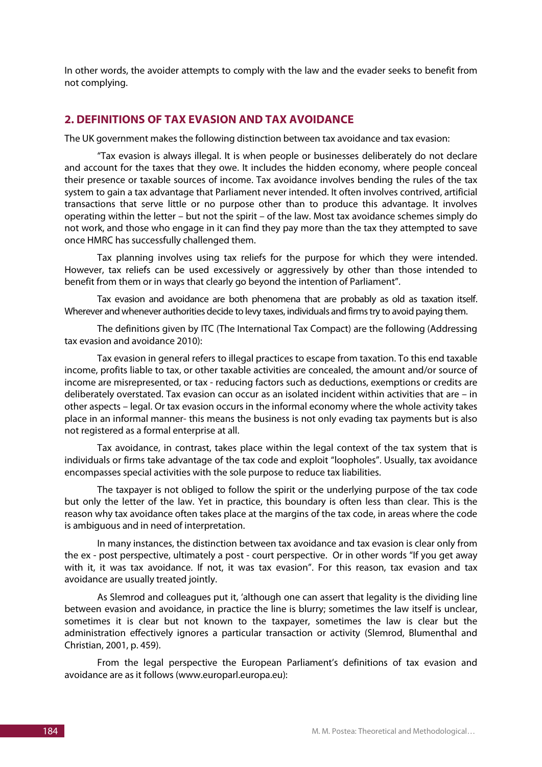In other words, the avoider attempts to comply with the law and the evader seeks to benefit from not complying.

### **2. DEFINITIONS OF TAX EVASION AND TAX AVOIDANCE**

The UK government makes the following distinction between tax avoidance and tax evasion:

"Tax evasion is always illegal. It is when people or businesses deliberately do not declare and account for the taxes that they owe. It includes the hidden economy, where people conceal their presence or taxable sources of income. Tax avoidance involves bending the rules of the tax system to gain a tax advantage that Parliament never intended. It often involves contrived, artificial transactions that serve little or no purpose other than to produce this advantage. It involves operating within the letter – but not the spirit – of the law. Most tax avoidance schemes simply do not work, and those who engage in it can find they pay more than the tax they attempted to save once HMRC has successfully challenged them.

Tax planning involves using tax reliefs for the purpose for which they were intended. However, tax reliefs can be used excessively or aggressively by other than those intended to benefit from them or in ways that clearly go beyond the intention of Parliament".

Tax evasion and avoidance are both phenomena that are probably as old as taxation itself. Wherever and whenever authorities decide to levy taxes, individuals and firms try to avoid paying them.

The definitions given by ITC (The International Tax Compact) are the following (Addressing tax evasion and avoidance 2010):

Tax evasion in general refers to illegal practices to escape from taxation. To this end taxable income, profits liable to tax, or other taxable activities are concealed, the amount and/or source of income are misrepresented, or tax - reducing factors such as deductions, exemptions or credits are deliberately overstated. Tax evasion can occur as an isolated incident within activities that are – in other aspects – legal. Or tax evasion occurs in the informal economy where the whole activity takes place in an informal manner- this means the business is not only evading tax payments but is also not registered as a formal enterprise at all.

Tax avoidance, in contrast, takes place within the legal context of the tax system that is individuals or firms take advantage of the tax code and exploit "loopholes". Usually, tax avoidance encompasses special activities with the sole purpose to reduce tax liabilities.

The taxpayer is not obliged to follow the spirit or the underlying purpose of the tax code but only the letter of the law. Yet in practice, this boundary is often less than clear. This is the reason why tax avoidance often takes place at the margins of the tax code, in areas where the code is ambiguous and in need of interpretation.

In many instances, the distinction between tax avoidance and tax evasion is clear only from the ex - post perspective, ultimately a post - court perspective. Or in other words "If you get away with it, it was tax avoidance. If not, it was tax evasion". For this reason, tax evasion and tax avoidance are usually treated jointly.

As Slemrod and colleagues put it, 'although one can assert that legality is the dividing line between evasion and avoidance, in practice the line is blurry; sometimes the law itself is unclear, sometimes it is clear but not known to the taxpayer, sometimes the law is clear but the administration effectively ignores a particular transaction or activity (Slemrod, Blumenthal and Christian, 2001, p. 459).

From the legal perspective the European Parliament's definitions of tax evasion and avoidance are as it follows (www.europarl.europa.eu):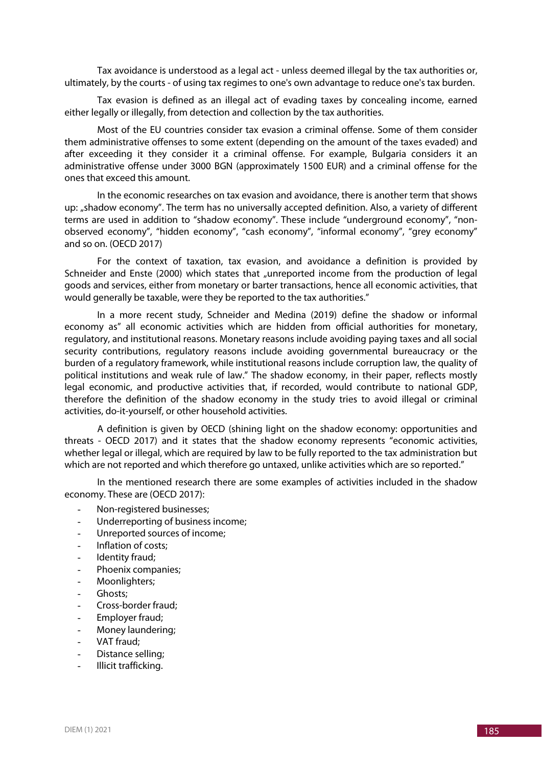Tax avoidance is understood as a legal act - unless deemed illegal by the tax authorities or, ultimately, by the courts - of using tax regimes to one's own advantage to reduce one's tax burden.

Tax evasion is defined as an illegal act of evading taxes by concealing income, earned either legally or illegally, from detection and collection by the tax authorities.

Most of the EU countries consider tax evasion a criminal offense. Some of them consider them administrative offenses to some extent (depending on the amount of the taxes evaded) and after exceeding it they consider it a criminal offense. For example, Bulgaria considers it an administrative offense under 3000 BGN (approximately 1500 EUR) and a criminal offense for the ones that exceed this amount.

In the economic researches on tax evasion and avoidance, there is another term that shows up: "shadow economy". The term has no universally accepted definition. Also, a variety of different terms are used in addition to "shadow economy". These include "underground economy", "nonobserved economy", "hidden economy", "cash economy", "informal economy", "grey economy" and so on. (OECD 2017)

For the context of taxation, tax evasion, and avoidance a definition is provided by Schneider and Enste (2000) which states that "unreported income from the production of legal goods and services, either from monetary or barter transactions, hence all economic activities, that would generally be taxable, were they be reported to the tax authorities."

In a more recent study, Schneider and Medina (2019) define the shadow or informal economy as" all economic activities which are hidden from official authorities for monetary, regulatory, and institutional reasons. Monetary reasons include avoiding paying taxes and all social security contributions, regulatory reasons include avoiding governmental bureaucracy or the burden of a regulatory framework, while institutional reasons include corruption law, the quality of political institutions and weak rule of law." The shadow economy, in their paper, reflects mostly legal economic, and productive activities that, if recorded, would contribute to national GDP, therefore the definition of the shadow economy in the study tries to avoid illegal or criminal activities, do-it-yourself, or other household activities.

A definition is given by OECD (shining light on the shadow economy: opportunities and threats - OECD 2017) and it states that the shadow economy represents "economic activities, whether legal or illegal, which are required by law to be fully reported to the tax administration but which are not reported and which therefore go untaxed, unlike activities which are so reported."

In the mentioned research there are some examples of activities included in the shadow economy. These are (OECD 2017):

- Non-registered businesses;
- Underreporting of business income;
- Unreported sources of income;
- Inflation of costs:
- Identity fraud:
- Phoenix companies;
- Moonlighters;
- Ghosts:
- Cross-border fraud;
- Employer fraud;
- Money laundering;
- VAT fraud;
- Distance selling;
- Illicit trafficking.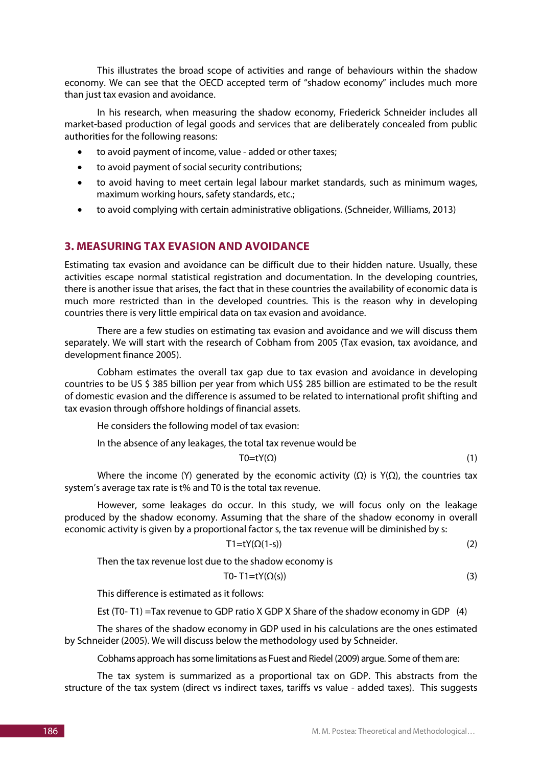This illustrates the broad scope of activities and range of behaviours within the shadow economy. We can see that the OECD accepted term of "shadow economy" includes much more than just tax evasion and avoidance.

In his research, when measuring the shadow economy, Friederick Schneider includes all market-based production of legal goods and services that are deliberately concealed from public authorities for the following reasons:

- to avoid payment of income, value added or other taxes;
- to avoid payment of social security contributions;
- to avoid having to meet certain legal labour market standards, such as minimum wages, maximum working hours, safety standards, etc.;
- to avoid complying with certain administrative obligations. (Schneider, Williams, 2013)

# **3. MEASURING TAX EVASION AND AVOIDANCE**

Estimating tax evasion and avoidance can be difficult due to their hidden nature. Usually, these activities escape normal statistical registration and documentation. In the developing countries, there is another issue that arises, the fact that in these countries the availability of economic data is much more restricted than in the developed countries. This is the reason why in developing countries there is very little empirical data on tax evasion and avoidance.

There are a few studies on estimating tax evasion and avoidance and we will discuss them separately. We will start with the research of Cobham from 2005 (Tax evasion, tax avoidance, and development finance 2005).

Cobham estimates the overall tax gap due to tax evasion and avoidance in developing countries to be US \$ 385 billion per year from which US\$ 285 billion are estimated to be the result of domestic evasion and the difference is assumed to be related to international profit shifting and tax evasion through offshore holdings of financial assets.

He considers the following model of tax evasion:

In the absence of any leakages, the total tax revenue would be

$$
TO=tY(\Omega) \tag{1}
$$

Where the income (Y) generated by the economic activity  $(\Omega)$  is  $Y(\Omega)$ , the countries tax system's average tax rate is t% and T0 is the total tax revenue.

However, some leakages do occur. In this study, we will focus only on the leakage produced by the shadow economy. Assuming that the share of the shadow economy in overall economic activity is given by a proportional factor s, the tax revenue will be diminished by s:

$$
T1 = tY(\Omega(1-s))
$$
 (2)

Then the tax revenue lost due to the shadow economy is

$$
TO-T1=tY(\Omega(s))\tag{3}
$$

This difference is estimated as it follows:

Est (T0- T1) =Tax revenue to GDP ratio X GDP X Share of the shadow economy in GDP (4)

The shares of the shadow economy in GDP used in his calculations are the ones estimated by Schneider (2005). We will discuss below the methodology used by Schneider.

Cobhams approach has some limitations as Fuest and Riedel (2009) argue. Some of them are:

The tax system is summarized as a proportional tax on GDP. This abstracts from the structure of the tax system (direct vs indirect taxes, tariffs vs value - added taxes). This suggests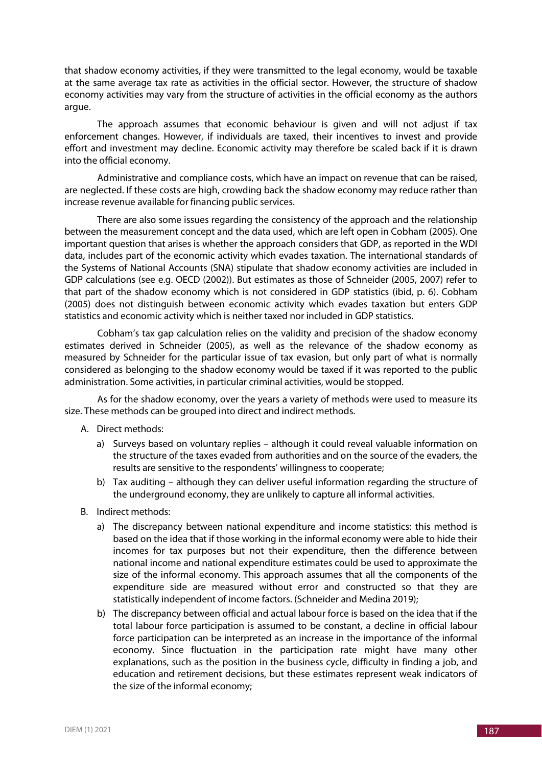that shadow economy activities, if they were transmitted to the legal economy, would be taxable at the same average tax rate as activities in the official sector. However, the structure of shadow economy activities may vary from the structure of activities in the official economy as the authors argue.

The approach assumes that economic behaviour is given and will not adjust if tax enforcement changes. However, if individuals are taxed, their incentives to invest and provide effort and investment may decline. Economic activity may therefore be scaled back if it is drawn into the official economy.

Administrative and compliance costs, which have an impact on revenue that can be raised, are neglected. If these costs are high, crowding back the shadow economy may reduce rather than increase revenue available for financing public services.

There are also some issues regarding the consistency of the approach and the relationship between the measurement concept and the data used, which are left open in Cobham (2005). One important question that arises is whether the approach considers that GDP, as reported in the WDI data, includes part of the economic activity which evades taxation. The international standards of the Systems of National Accounts (SNA) stipulate that shadow economy activities are included in GDP calculations (see e.g. OECD (2002)). But estimates as those of Schneider (2005, 2007) refer to that part of the shadow economy which is not considered in GDP statistics (ibid, p. 6). Cobham (2005) does not distinguish between economic activity which evades taxation but enters GDP statistics and economic activity which is neither taxed nor included in GDP statistics.

Cobham's tax gap calculation relies on the validity and precision of the shadow economy estimates derived in Schneider (2005), as well as the relevance of the shadow economy as measured by Schneider for the particular issue of tax evasion, but only part of what is normally considered as belonging to the shadow economy would be taxed if it was reported to the public administration. Some activities, in particular criminal activities, would be stopped.

As for the shadow economy, over the years a variety of methods were used to measure its size. These methods can be grouped into direct and indirect methods.

- A. Direct methods:
	- a) Surveys based on voluntary replies although it could reveal valuable information on the structure of the taxes evaded from authorities and on the source of the evaders, the results are sensitive to the respondents' willingness to cooperate;
	- b) Tax auditing although they can deliver useful information regarding the structure of the underground economy, they are unlikely to capture all informal activities.
- B. Indirect methods:
	- a) The discrepancy between national expenditure and income statistics: this method is based on the idea that if those working in the informal economy were able to hide their incomes for tax purposes but not their expenditure, then the difference between national income and national expenditure estimates could be used to approximate the size of the informal economy. This approach assumes that all the components of the expenditure side are measured without error and constructed so that they are statistically independent of income factors. (Schneider and Medina 2019);
	- b) The discrepancy between official and actual labour force is based on the idea that if the total labour force participation is assumed to be constant, a decline in official labour force participation can be interpreted as an increase in the importance of the informal economy. Since fluctuation in the participation rate might have many other explanations, such as the position in the business cycle, difficulty in finding a job, and education and retirement decisions, but these estimates represent weak indicators of the size of the informal economy;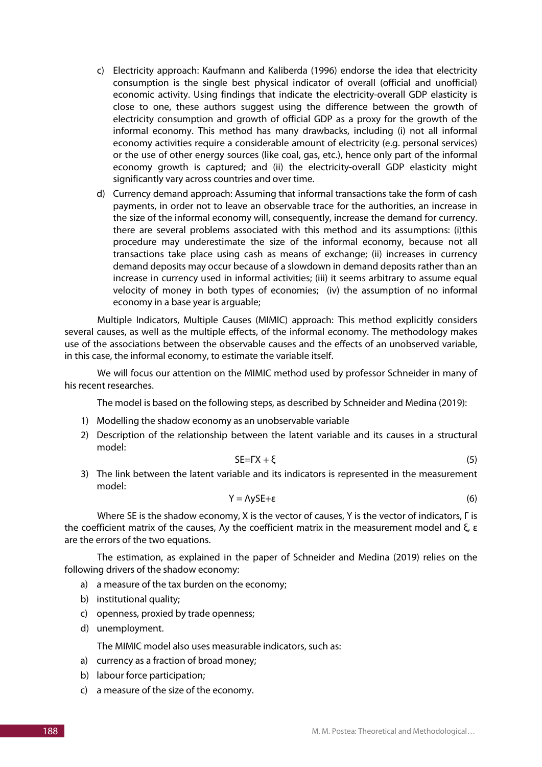- c) Electricity approach: Kaufmann and Kaliberda (1996) endorse the idea that electricity consumption is the single best physical indicator of overall (official and unofficial) economic activity. Using findings that indicate the electricity-overall GDP elasticity is close to one, these authors suggest using the difference between the growth of electricity consumption and growth of official GDP as a proxy for the growth of the informal economy. This method has many drawbacks, including (i) not all informal economy activities require a considerable amount of electricity (e.g. personal services) or the use of other energy sources (like coal, gas, etc.), hence only part of the informal economy growth is captured; and (ii) the electricity-overall GDP elasticity might significantly vary across countries and over time.
- d) Currency demand approach: Assuming that informal transactions take the form of cash payments, in order not to leave an observable trace for the authorities, an increase in the size of the informal economy will, consequently, increase the demand for currency. there are several problems associated with this method and its assumptions: (i)this procedure may underestimate the size of the informal economy, because not all transactions take place using cash as means of exchange; (ii) increases in currency demand deposits may occur because of a slowdown in demand deposits rather than an increase in currency used in informal activities; (iii) it seems arbitrary to assume equal velocity of money in both types of economies; (iv) the assumption of no informal economy in a base year is arguable;

Multiple Indicators, Multiple Causes (MIMIC) approach: This method explicitly considers several causes, as well as the multiple effects, of the informal economy. The methodology makes use of the associations between the observable causes and the effects of an unobserved variable, in this case, the informal economy, to estimate the variable itself.

We will focus our attention on the MIMIC method used by professor Schneider in many of his recent researches.

The model is based on the following steps, as described by Schneider and Medina (2019):

- 1) Modelling the shadow economy as an unobservable variable
- 2) Description of the relationship between the latent variable and its causes in a structural model:

$$
SE = \Gamma X + \xi \tag{5}
$$

3) The link between the latent variable and its indicators is represented in the measurement model:

$$
Y = \Lambda y SE + \epsilon \tag{6}
$$

Where SE is the shadow economy, X is the vector of causes, Y is the vector of indicators, Γ is the coefficient matrix of the causes, Λy the coefficient matrix in the measurement model and ξ, ε are the errors of the two equations.

The estimation, as explained in the paper of Schneider and Medina (2019) relies on the following drivers of the shadow economy:

- a) a measure of the tax burden on the economy;
- b) institutional quality;
- c) openness, proxied by trade openness;
- d) unemployment.

The MIMIC model also uses measurable indicators, such as:

- a) currency as a fraction of broad money;
- b) labour force participation;
- c) a measure of the size of the economy.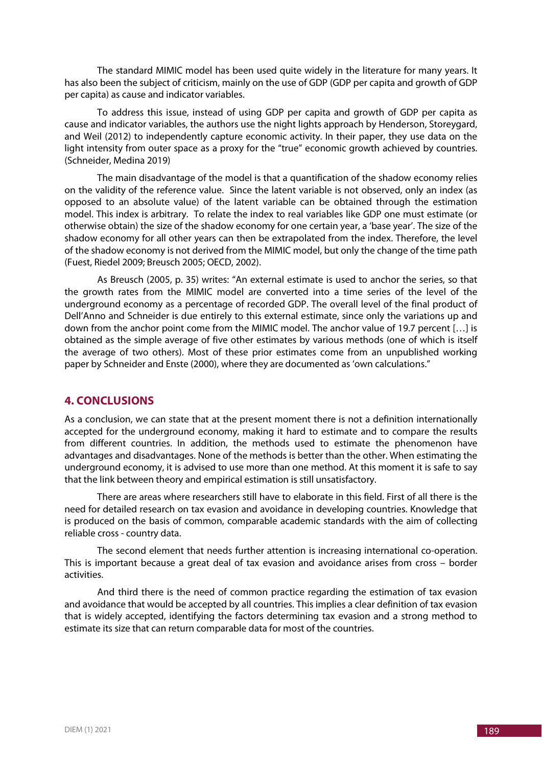The standard MIMIC model has been used quite widely in the literature for many years. It has also been the subject of criticism, mainly on the use of GDP (GDP per capita and growth of GDP per capita) as cause and indicator variables.

To address this issue, instead of using GDP per capita and growth of GDP per capita as cause and indicator variables, the authors use the night lights approach by Henderson, Storeygard, and Weil (2012) to independently capture economic activity. In their paper, they use data on the light intensity from outer space as a proxy for the "true" economic growth achieved by countries. (Schneider, Medina 2019)

The main disadvantage of the model is that a quantification of the shadow economy relies on the validity of the reference value. Since the latent variable is not observed, only an index (as opposed to an absolute value) of the latent variable can be obtained through the estimation model. This index is arbitrary. To relate the index to real variables like GDP one must estimate (or otherwise obtain) the size of the shadow economy for one certain year, a 'base year'. The size of the shadow economy for all other years can then be extrapolated from the index. Therefore, the level of the shadow economy is not derived from the MIMIC model, but only the change of the time path (Fuest, Riedel 2009; Breusch 2005; OECD, 2002).

As Breusch (2005, p. 35) writes: "An external estimate is used to anchor the series, so that the growth rates from the MIMIC model are converted into a time series of the level of the underground economy as a percentage of recorded GDP. The overall level of the final product of Dell'Anno and Schneider is due entirely to this external estimate, since only the variations up and down from the anchor point come from the MIMIC model. The anchor value of 19.7 percent […] is obtained as the simple average of five other estimates by various methods (one of which is itself the average of two others). Most of these prior estimates come from an unpublished working paper by Schneider and Enste (2000), where they are documented as 'own calculations."

# **4. CONCLUSIONS**

As a conclusion, we can state that at the present moment there is not a definition internationally accepted for the underground economy, making it hard to estimate and to compare the results from different countries. In addition, the methods used to estimate the phenomenon have advantages and disadvantages. None of the methods is better than the other. When estimating the underground economy, it is advised to use more than one method. At this moment it is safe to say that the link between theory and empirical estimation is still unsatisfactory.

There are areas where researchers still have to elaborate in this field. First of all there is the need for detailed research on tax evasion and avoidance in developing countries. Knowledge that is produced on the basis of common, comparable academic standards with the aim of collecting reliable cross - country data.

The second element that needs further attention is increasing international co-operation. This is important because a great deal of tax evasion and avoidance arises from cross – border activities.

And third there is the need of common practice regarding the estimation of tax evasion and avoidance that would be accepted by all countries. This implies a clear definition of tax evasion that is widely accepted, identifying the factors determining tax evasion and a strong method to estimate its size that can return comparable data for most of the countries.